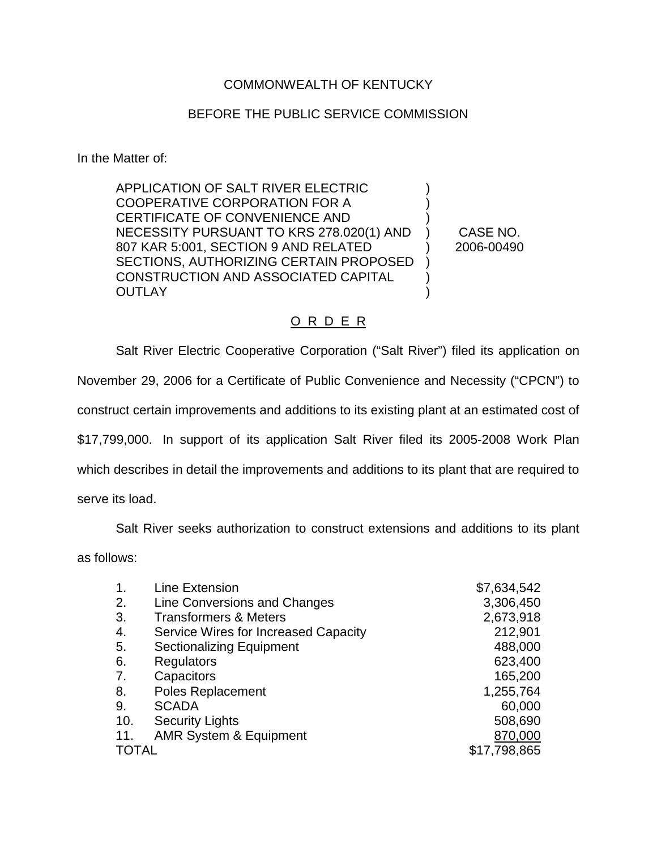## COMMONWEALTH OF KENTUCKY

## BEFORE THE PUBLIC SERVICE COMMISSION

In the Matter of:

APPLICATION OF SALT RIVER ELECTRIC COOPERATIVE CORPORATION FOR A CERTIFICATE OF CONVENIENCE AND NECESSITY PURSUANT TO KRS 278.020(1) AND 807 KAR 5:001, SECTION 9 AND RELATED SECTIONS, AUTHORIZING CERTAIN PROPOSED CONSTRUCTION AND ASSOCIATED CAPITAL **OUTLAY** ) ) ) ) ) )

) CASE NO. ) 2006-00490

## O R D E R

Salt River Electric Cooperative Corporation ("Salt River") filed its application on November 29, 2006 for a Certificate of Public Convenience and Necessity ("CPCN") to construct certain improvements and additions to its existing plant at an estimated cost of \$17,799,000. In support of its application Salt River filed its 2005-2008 Work Plan which describes in detail the improvements and additions to its plant that are required to serve its load.

Salt River seeks authorization to construct extensions and additions to its plant

as follows:

| $\mathbf{1}$ . | <b>Line Extension</b>                | \$7,634,542  |
|----------------|--------------------------------------|--------------|
| 2.             | Line Conversions and Changes         | 3,306,450    |
| 3.             | <b>Transformers &amp; Meters</b>     | 2,673,918    |
| 4.             | Service Wires for Increased Capacity | 212,901      |
| 5.             | <b>Sectionalizing Equipment</b>      | 488,000      |
| 6.             | <b>Regulators</b>                    | 623,400      |
| 7.             | Capacitors                           | 165,200      |
| 8.             | <b>Poles Replacement</b>             | 1,255,764    |
| 9.             | <b>SCADA</b>                         | 60,000       |
| 10.            | <b>Security Lights</b>               | 508,690      |
| 11.            | <b>AMR System &amp; Equipment</b>    | 870,000      |
| <b>TOTAL</b>   |                                      | \$17,798,865 |
|                |                                      |              |